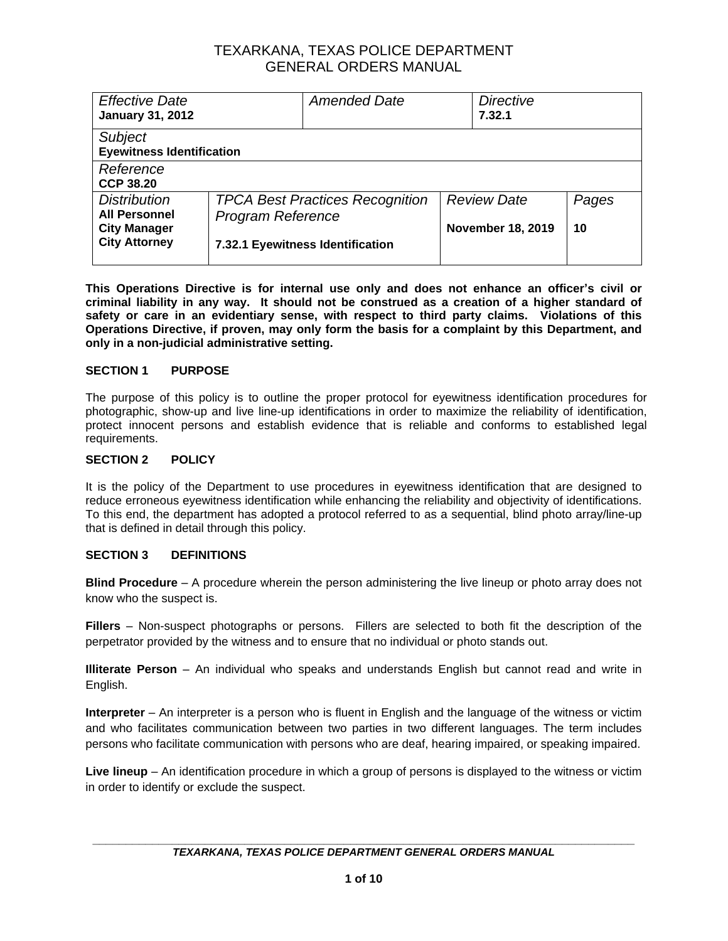| <b>Effective Date</b><br><b>January 31, 2012</b>   |                          | <b>Amended Date</b>                    | <b>Directive</b><br>7.32.1 |       |
|----------------------------------------------------|--------------------------|----------------------------------------|----------------------------|-------|
| <b>Subject</b><br><b>Eyewitness Identification</b> |                          |                                        |                            |       |
| Reference                                          |                          |                                        |                            |       |
| <b>CCP 38.20</b>                                   |                          |                                        |                            |       |
| <b>Distribution</b>                                |                          | <b>TPCA Best Practices Recognition</b> | <b>Review Date</b>         | Pages |
| <b>All Personnel</b>                               | <b>Program Reference</b> |                                        |                            |       |
| <b>City Manager</b><br><b>City Attorney</b>        |                          | 7.32.1 Eyewitness Identification       | <b>November 18, 2019</b>   | 10    |

**This Operations Directive is for internal use only and does not enhance an officer's civil or criminal liability in any way. It should not be construed as a creation of a higher standard of safety or care in an evidentiary sense, with respect to third party claims. Violations of this Operations Directive, if proven, may only form the basis for a complaint by this Department, and only in a non-judicial administrative setting.**

#### **SECTION 1 PURPOSE**

The purpose of this policy is to outline the proper protocol for eyewitness identification procedures for photographic, show-up and live line-up identifications in order to maximize the reliability of identification, protect innocent persons and establish evidence that is reliable and conforms to established legal requirements.

#### **SECTION 2 POLICY**

It is the policy of the Department to use procedures in eyewitness identification that are designed to reduce erroneous eyewitness identification while enhancing the reliability and objectivity of identifications. To this end, the department has adopted a protocol referred to as a sequential, blind photo array/line-up that is defined in detail through this policy.

#### **SECTION 3 DEFINITIONS**

**Blind Procedure** – A procedure wherein the person administering the live lineup or photo array does not know who the suspect is.

**Fillers** – Non-suspect photographs or persons. Fillers are selected to both fit the description of the perpetrator provided by the witness and to ensure that no individual or photo stands out.

**Illiterate Person** – An individual who speaks and understands English but cannot read and write in English.

**Interpreter** – An interpreter is a person who is fluent in English and the language of the witness or victim and who facilitates communication between two parties in two different languages. The term includes persons who facilitate communication with persons who are deaf, hearing impaired, or speaking impaired.

**Live lineup** – An identification procedure in which a group of persons is displayed to the witness or victim in order to identify or exclude the suspect.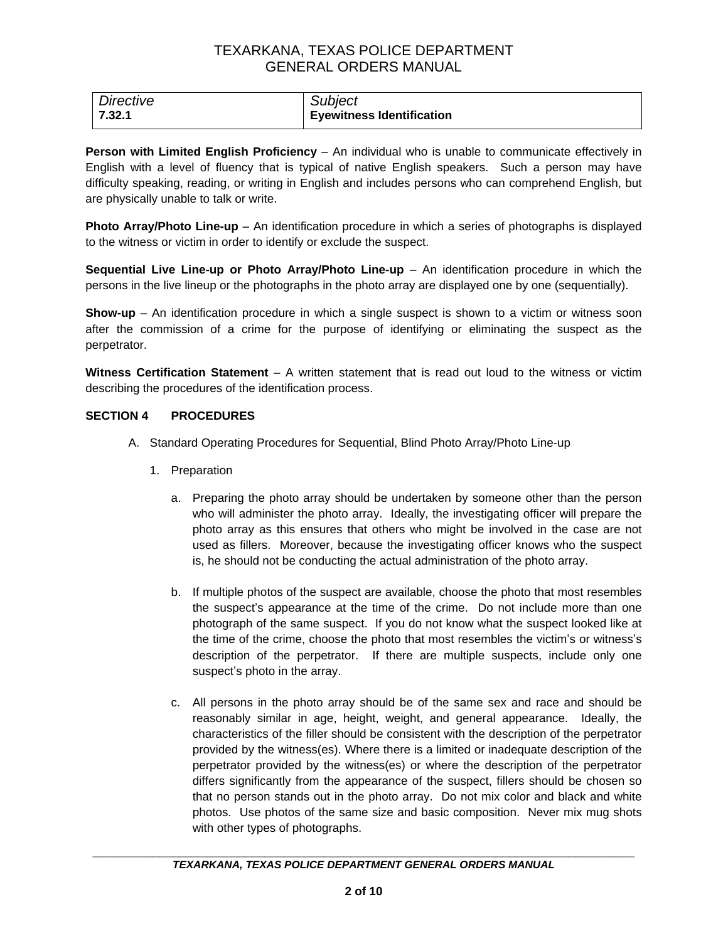| Directive | <b>Subject</b>                   |
|-----------|----------------------------------|
| 7.32.1    | <b>Eyewitness Identification</b> |

**Person with Limited English Proficiency** – An individual who is unable to communicate effectively in English with a level of fluency that is typical of native English speakers. Such a person may have difficulty speaking, reading, or writing in English and includes persons who can comprehend English, but are physically unable to talk or write.

**Photo Array/Photo Line-up** – An identification procedure in which a series of photographs is displayed to the witness or victim in order to identify or exclude the suspect.

**Sequential Live Line-up or Photo Array/Photo Line-up** – An identification procedure in which the persons in the live lineup or the photographs in the photo array are displayed one by one (sequentially).

**Show-up** – An identification procedure in which a single suspect is shown to a victim or witness soon after the commission of a crime for the purpose of identifying or eliminating the suspect as the perpetrator.

**Witness Certification Statement** – A written statement that is read out loud to the witness or victim describing the procedures of the identification process.

#### **SECTION 4 PROCEDURES**

- A. Standard Operating Procedures for Sequential, Blind Photo Array/Photo Line-up
	- 1. Preparation
		- a. Preparing the photo array should be undertaken by someone other than the person who will administer the photo array. Ideally, the investigating officer will prepare the photo array as this ensures that others who might be involved in the case are not used as fillers. Moreover, because the investigating officer knows who the suspect is, he should not be conducting the actual administration of the photo array.
		- b. If multiple photos of the suspect are available, choose the photo that most resembles the suspect's appearance at the time of the crime. Do not include more than one photograph of the same suspect. If you do not know what the suspect looked like at the time of the crime, choose the photo that most resembles the victim's or witness's description of the perpetrator. If there are multiple suspects, include only one suspect's photo in the array.
		- c. All persons in the photo array should be of the same sex and race and should be reasonably similar in age, height, weight, and general appearance. Ideally, the characteristics of the filler should be consistent with the description of the perpetrator provided by the witness(es). Where there is a limited or inadequate description of the perpetrator provided by the witness(es) or where the description of the perpetrator differs significantly from the appearance of the suspect, fillers should be chosen so that no person stands out in the photo array. Do not mix color and black and white photos. Use photos of the same size and basic composition. Never mix mug shots with other types of photographs.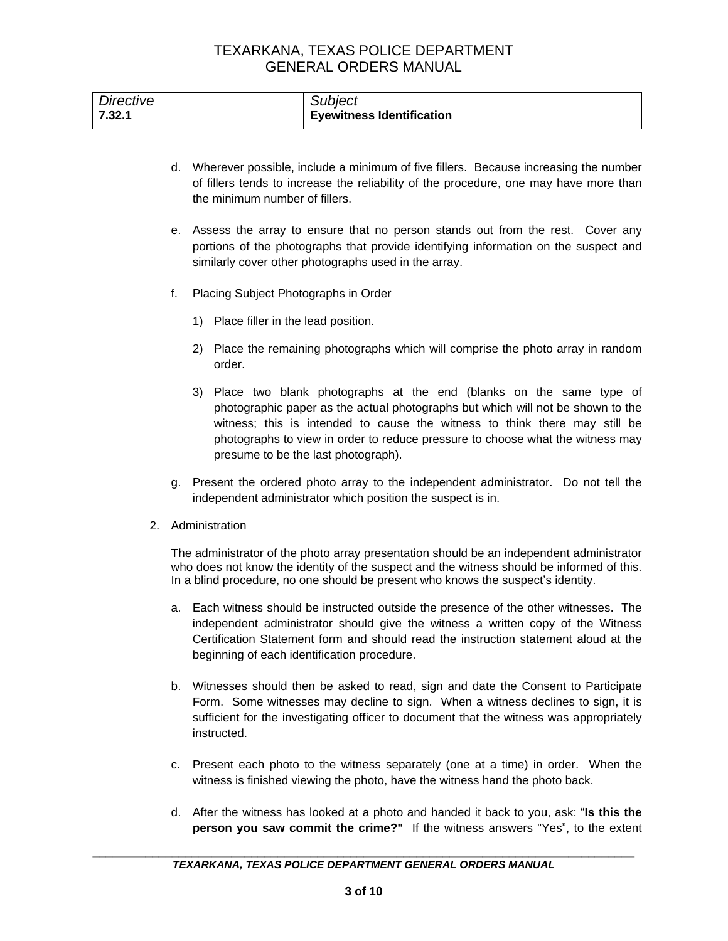| <b>Directive</b> | Subject                          |
|------------------|----------------------------------|
| 7.32.1           | <b>Eyewitness Identification</b> |

- d. Wherever possible, include a minimum of five fillers. Because increasing the number of fillers tends to increase the reliability of the procedure, one may have more than the minimum number of fillers.
- e. Assess the array to ensure that no person stands out from the rest. Cover any portions of the photographs that provide identifying information on the suspect and similarly cover other photographs used in the array.
- f. Placing Subject Photographs in Order
	- 1) Place filler in the lead position.
	- 2) Place the remaining photographs which will comprise the photo array in random order.
	- 3) Place two blank photographs at the end (blanks on the same type of photographic paper as the actual photographs but which will not be shown to the witness; this is intended to cause the witness to think there may still be photographs to view in order to reduce pressure to choose what the witness may presume to be the last photograph).
- g. Present the ordered photo array to the independent administrator. Do not tell the independent administrator which position the suspect is in.
- 2. Administration

The administrator of the photo array presentation should be an independent administrator who does not know the identity of the suspect and the witness should be informed of this. In a blind procedure, no one should be present who knows the suspect's identity.

- a. Each witness should be instructed outside the presence of the other witnesses. The independent administrator should give the witness a written copy of the Witness Certification Statement form and should read the instruction statement aloud at the beginning of each identification procedure.
- b. Witnesses should then be asked to read, sign and date the Consent to Participate Form. Some witnesses may decline to sign. When a witness declines to sign, it is sufficient for the investigating officer to document that the witness was appropriately instructed.
- c. Present each photo to the witness separately (one at a time) in order. When the witness is finished viewing the photo, have the witness hand the photo back.
- d. After the witness has looked at a photo and handed it back to you, ask: "**Is this the person you saw commit the crime?"** If the witness answers "Yes", to the extent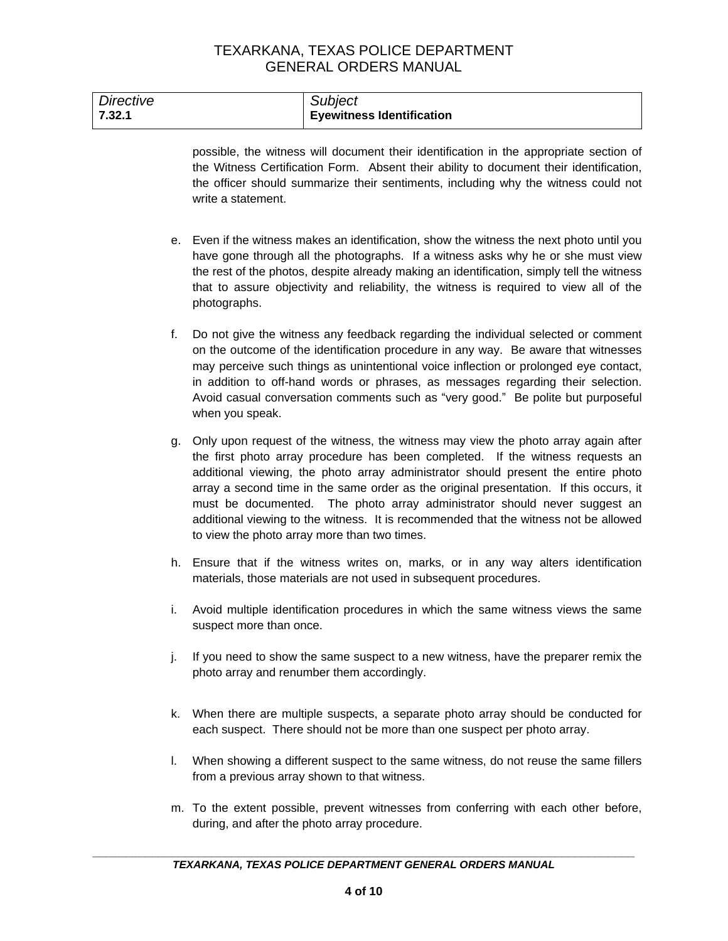| Directive | Subject                          |
|-----------|----------------------------------|
| 7.32.1    | <b>Eyewitness Identification</b> |

possible, the witness will document their identification in the appropriate section of the Witness Certification Form. Absent their ability to document their identification, the officer should summarize their sentiments, including why the witness could not write a statement.

- e. Even if the witness makes an identification, show the witness the next photo until you have gone through all the photographs. If a witness asks why he or she must view the rest of the photos, despite already making an identification, simply tell the witness that to assure objectivity and reliability, the witness is required to view all of the photographs.
- f. Do not give the witness any feedback regarding the individual selected or comment on the outcome of the identification procedure in any way. Be aware that witnesses may perceive such things as unintentional voice inflection or prolonged eye contact, in addition to off-hand words or phrases, as messages regarding their selection. Avoid casual conversation comments such as "very good." Be polite but purposeful when you speak.
- g. Only upon request of the witness, the witness may view the photo array again after the first photo array procedure has been completed. If the witness requests an additional viewing, the photo array administrator should present the entire photo array a second time in the same order as the original presentation. If this occurs, it must be documented. The photo array administrator should never suggest an additional viewing to the witness. It is recommended that the witness not be allowed to view the photo array more than two times.
- h. Ensure that if the witness writes on, marks, or in any way alters identification materials, those materials are not used in subsequent procedures.
- i. Avoid multiple identification procedures in which the same witness views the same suspect more than once.
- j. If you need to show the same suspect to a new witness, have the preparer remix the photo array and renumber them accordingly.
- k. When there are multiple suspects, a separate photo array should be conducted for each suspect. There should not be more than one suspect per photo array.
- l. When showing a different suspect to the same witness, do not reuse the same fillers from a previous array shown to that witness.
- m. To the extent possible, prevent witnesses from conferring with each other before, during, and after the photo array procedure.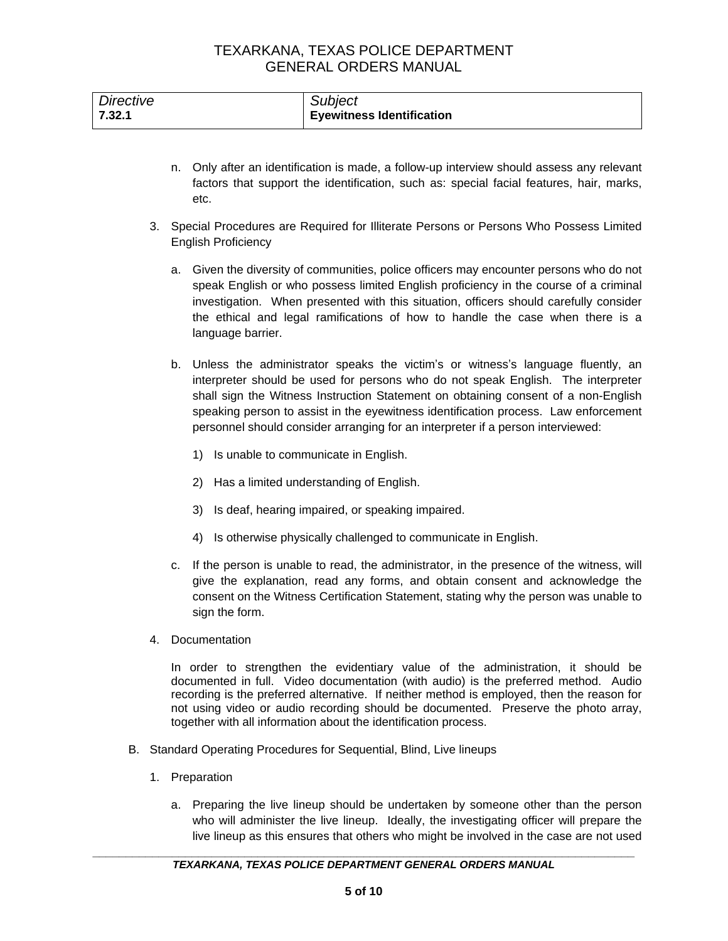| <b>Directive</b> | Subject                          |
|------------------|----------------------------------|
| 7.32.1           | <b>Eyewitness Identification</b> |

- n. Only after an identification is made, a follow-up interview should assess any relevant factors that support the identification, such as: special facial features, hair, marks, etc.
- 3. Special Procedures are Required for Illiterate Persons or Persons Who Possess Limited English Proficiency
	- a. Given the diversity of communities, police officers may encounter persons who do not speak English or who possess limited English proficiency in the course of a criminal investigation. When presented with this situation, officers should carefully consider the ethical and legal ramifications of how to handle the case when there is a language barrier.
	- b. Unless the administrator speaks the victim's or witness's language fluently, an interpreter should be used for persons who do not speak English. The interpreter shall sign the Witness Instruction Statement on obtaining consent of a non-English speaking person to assist in the eyewitness identification process. Law enforcement personnel should consider arranging for an interpreter if a person interviewed:
		- 1) Is unable to communicate in English.
		- 2) Has a limited understanding of English.
		- 3) Is deaf, hearing impaired, or speaking impaired.
		- 4) Is otherwise physically challenged to communicate in English.
	- c. If the person is unable to read, the administrator, in the presence of the witness, will give the explanation, read any forms, and obtain consent and acknowledge the consent on the Witness Certification Statement, stating why the person was unable to sign the form.
- 4. Documentation

In order to strengthen the evidentiary value of the administration, it should be documented in full. Video documentation (with audio) is the preferred method. Audio recording is the preferred alternative. If neither method is employed, then the reason for not using video or audio recording should be documented. Preserve the photo array, together with all information about the identification process.

- B. Standard Operating Procedures for Sequential, Blind, Live lineups
	- 1. Preparation
		- a. Preparing the live lineup should be undertaken by someone other than the person who will administer the live lineup. Ideally, the investigating officer will prepare the live lineup as this ensures that others who might be involved in the case are not used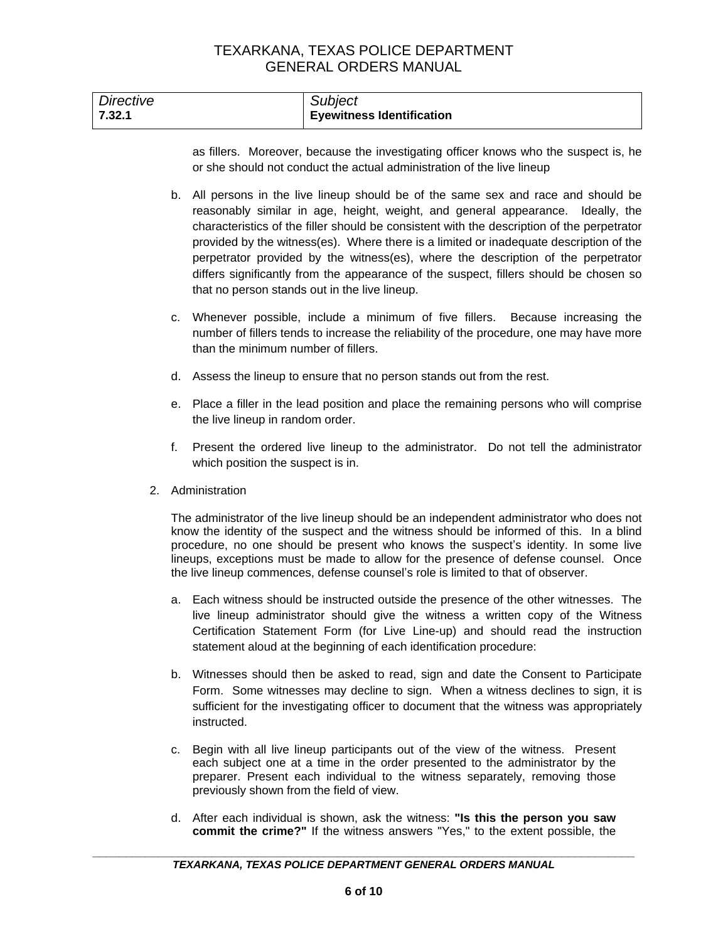| Directive | Subject                          |
|-----------|----------------------------------|
| 7.32.1    | <b>Eyewitness Identification</b> |

as fillers. Moreover, because the investigating officer knows who the suspect is, he or she should not conduct the actual administration of the live lineup

- b. All persons in the live lineup should be of the same sex and race and should be reasonably similar in age, height, weight, and general appearance. Ideally, the characteristics of the filler should be consistent with the description of the perpetrator provided by the witness(es). Where there is a limited or inadequate description of the perpetrator provided by the witness(es), where the description of the perpetrator differs significantly from the appearance of the suspect, fillers should be chosen so that no person stands out in the live lineup.
- c. Whenever possible, include a minimum of five fillers. Because increasing the number of fillers tends to increase the reliability of the procedure, one may have more than the minimum number of fillers.
- d. Assess the lineup to ensure that no person stands out from the rest.
- e. Place a filler in the lead position and place the remaining persons who will comprise the live lineup in random order.
- f. Present the ordered live lineup to the administrator. Do not tell the administrator which position the suspect is in.
- 2. Administration

The administrator of the live lineup should be an independent administrator who does not know the identity of the suspect and the witness should be informed of this. In a blind procedure, no one should be present who knows the suspect's identity. In some live lineups, exceptions must be made to allow for the presence of defense counsel. Once the live lineup commences, defense counsel's role is limited to that of observer.

- a. Each witness should be instructed outside the presence of the other witnesses. The live lineup administrator should give the witness a written copy of the Witness Certification Statement Form (for Live Line-up) and should read the instruction statement aloud at the beginning of each identification procedure:
- b. Witnesses should then be asked to read, sign and date the Consent to Participate Form. Some witnesses may decline to sign. When a witness declines to sign, it is sufficient for the investigating officer to document that the witness was appropriately instructed.
- c. Begin with all live lineup participants out of the view of the witness. Present each subject one at a time in the order presented to the administrator by the preparer. Present each individual to the witness separately, removing those previously shown from the field of view.
- d. After each individual is shown, ask the witness: **"Is this the person you saw commit the crime?"** If the witness answers "Yes," to the extent possible, the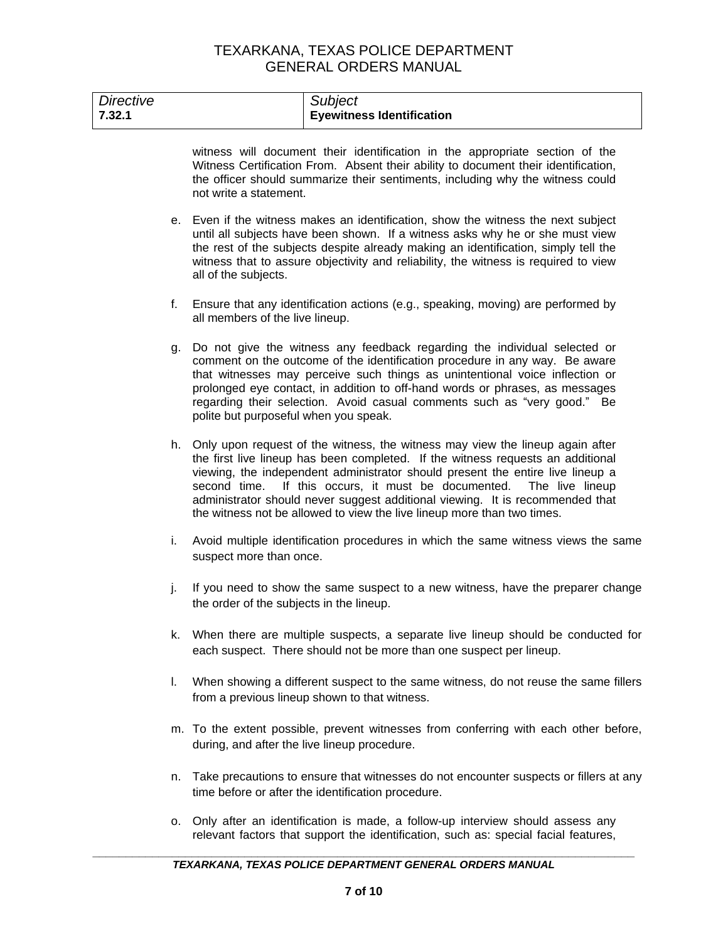| <b>Directive</b><br>7.32.1 |    | Subject<br><b>Eyewitness Identification</b>                                                                                                                                                                                                                                                                                                                                                                                                                                                    |
|----------------------------|----|------------------------------------------------------------------------------------------------------------------------------------------------------------------------------------------------------------------------------------------------------------------------------------------------------------------------------------------------------------------------------------------------------------------------------------------------------------------------------------------------|
|                            |    | witness will document their identification in the appropriate section of the<br>Witness Certification From. Absent their ability to document their identification,<br>the officer should summarize their sentiments, including why the witness could<br>not write a statement.                                                                                                                                                                                                                 |
|                            |    | e. Even if the witness makes an identification, show the witness the next subject<br>until all subjects have been shown. If a witness asks why he or she must view<br>the rest of the subjects despite already making an identification, simply tell the<br>witness that to assure objectivity and reliability, the witness is required to view<br>all of the subjects.                                                                                                                        |
|                            | f. | Ensure that any identification actions (e.g., speaking, moving) are performed by<br>all members of the live lineup.                                                                                                                                                                                                                                                                                                                                                                            |
|                            | g. | Do not give the witness any feedback regarding the individual selected or<br>comment on the outcome of the identification procedure in any way. Be aware<br>that witnesses may perceive such things as unintentional voice inflection or<br>prolonged eye contact, in addition to off-hand words or phrases, as messages<br>regarding their selection. Avoid casual comments such as "very good." Be<br>polite but purposeful when you speak.                                                  |
|                            |    | h. Only upon request of the witness, the witness may view the lineup again after<br>the first live lineup has been completed. If the witness requests an additional<br>viewing, the independent administrator should present the entire live lineup a<br>If this occurs, it must be documented.<br>second time.<br>The live lineup<br>administrator should never suggest additional viewing. It is recommended that<br>the witness not be allowed to view the live lineup more than two times. |
|                            | i. | Avoid multiple identification procedures in which the same witness views the same<br>suspect more than once.                                                                                                                                                                                                                                                                                                                                                                                   |
|                            | j. | If you need to show the same suspect to a new witness, have the preparer change<br>the order of the subjects in the lineup.                                                                                                                                                                                                                                                                                                                                                                    |
|                            | k. | When there are multiple suspects, a separate live lineup should be conducted for<br>each suspect. There should not be more than one suspect per lineup.                                                                                                                                                                                                                                                                                                                                        |
|                            | I. | When showing a different suspect to the same witness, do not reuse the same fillers<br>from a previous lineup shown to that witness.                                                                                                                                                                                                                                                                                                                                                           |
|                            |    | m. To the extent possible, prevent witnesses from conferring with each other before,<br>during, and after the live lineup procedure.                                                                                                                                                                                                                                                                                                                                                           |
|                            | n. | Take precautions to ensure that witnesses do not encounter suspects or fillers at any<br>time before or after the identification procedure.                                                                                                                                                                                                                                                                                                                                                    |

o. Only after an identification is made, a follow-up interview should assess any relevant factors that support the identification, such as: special facial features,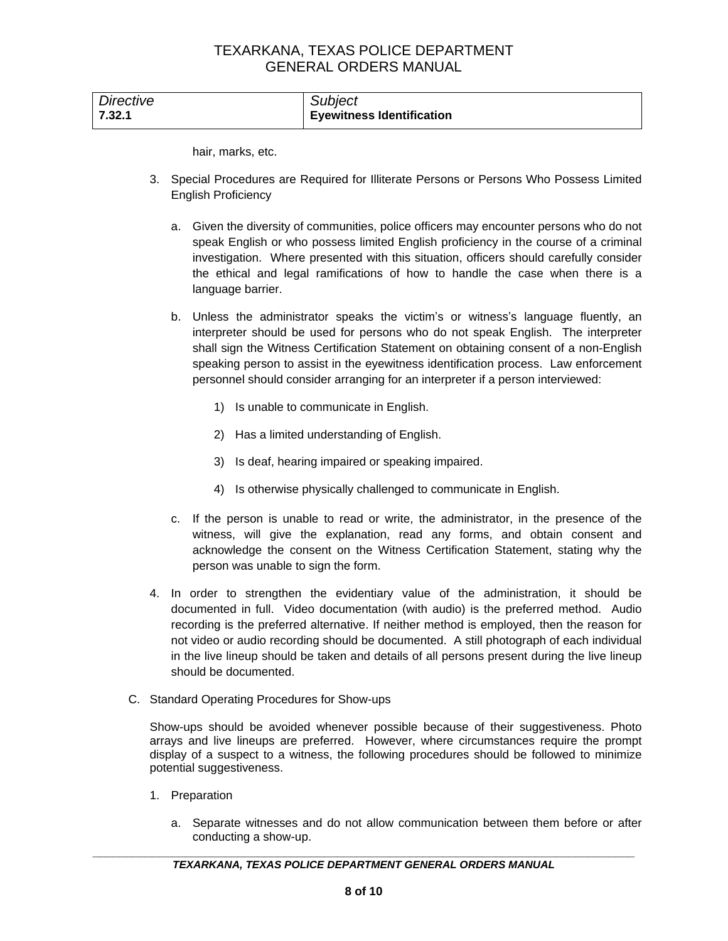| Directive | <b>Subject</b>                   |
|-----------|----------------------------------|
| 7.32.1    | <b>Eyewitness Identification</b> |

hair, marks, etc.

- 3. Special Procedures are Required for Illiterate Persons or Persons Who Possess Limited English Proficiency
	- a. Given the diversity of communities, police officers may encounter persons who do not speak English or who possess limited English proficiency in the course of a criminal investigation. Where presented with this situation, officers should carefully consider the ethical and legal ramifications of how to handle the case when there is a language barrier.
	- b. Unless the administrator speaks the victim's or witness's language fluently, an interpreter should be used for persons who do not speak English. The interpreter shall sign the Witness Certification Statement on obtaining consent of a non-English speaking person to assist in the eyewitness identification process. Law enforcement personnel should consider arranging for an interpreter if a person interviewed:
		- 1) Is unable to communicate in English.
		- 2) Has a limited understanding of English.
		- 3) Is deaf, hearing impaired or speaking impaired.
		- 4) Is otherwise physically challenged to communicate in English.
	- c. If the person is unable to read or write, the administrator, in the presence of the witness, will give the explanation, read any forms, and obtain consent and acknowledge the consent on the Witness Certification Statement, stating why the person was unable to sign the form.
- 4. In order to strengthen the evidentiary value of the administration, it should be documented in full. Video documentation (with audio) is the preferred method. Audio recording is the preferred alternative. If neither method is employed, then the reason for not video or audio recording should be documented. A still photograph of each individual in the live lineup should be taken and details of all persons present during the live lineup should be documented.
- C. Standard Operating Procedures for Show-ups

Show-ups should be avoided whenever possible because of their suggestiveness. Photo arrays and live lineups are preferred. However, where circumstances require the prompt display of a suspect to a witness, the following procedures should be followed to minimize potential suggestiveness.

- 1. Preparation
	- a. Separate witnesses and do not allow communication between them before or after conducting a show-up.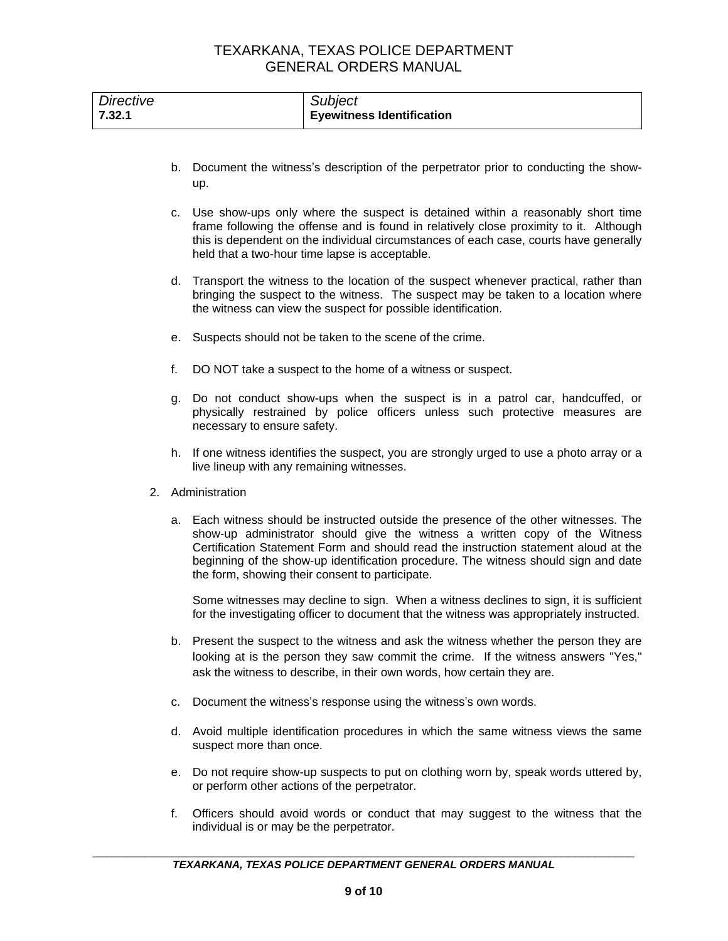| <b>Directive</b> | Subject                          |
|------------------|----------------------------------|
| 7.32.1           | <b>Eyewitness Identification</b> |

- b. Document the witness's description of the perpetrator prior to conducting the showup.
- c. Use show-ups only where the suspect is detained within a reasonably short time frame following the offense and is found in relatively close proximity to it. Although this is dependent on the individual circumstances of each case, courts have generally held that a two-hour time lapse is acceptable.
- d. Transport the witness to the location of the suspect whenever practical, rather than bringing the suspect to the witness. The suspect may be taken to a location where the witness can view the suspect for possible identification.
- e. Suspects should not be taken to the scene of the crime.
- f. DO NOT take a suspect to the home of a witness or suspect.
- g. Do not conduct show-ups when the suspect is in a patrol car, handcuffed, or physically restrained by police officers unless such protective measures are necessary to ensure safety.
- h. If one witness identifies the suspect, you are strongly urged to use a photo array or a live lineup with any remaining witnesses.
- 2. Administration
	- a. Each witness should be instructed outside the presence of the other witnesses. The show-up administrator should give the witness a written copy of the Witness Certification Statement Form and should read the instruction statement aloud at the beginning of the show-up identification procedure. The witness should sign and date the form, showing their consent to participate.

Some witnesses may decline to sign. When a witness declines to sign, it is sufficient for the investigating officer to document that the witness was appropriately instructed.

- b. Present the suspect to the witness and ask the witness whether the person they are looking at is the person they saw commit the crime. If the witness answers "Yes," ask the witness to describe, in their own words, how certain they are.
- c. Document the witness's response using the witness's own words.
- d. Avoid multiple identification procedures in which the same witness views the same suspect more than once.
- e. Do not require show-up suspects to put on clothing worn by, speak words uttered by, or perform other actions of the perpetrator.
- f. Officers should avoid words or conduct that may suggest to the witness that the individual is or may be the perpetrator.